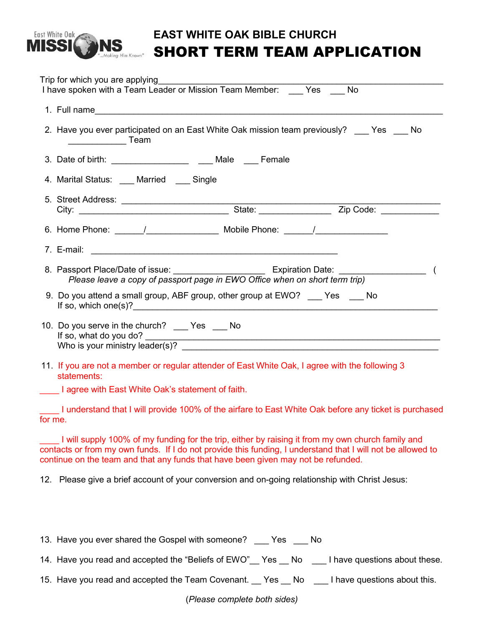

## **EAST WHITE OAK BIBLE CHURCH** SHORT TERM TEAM APPLICATION

|                                                   | Trip for which you are applying ________________<br>I have spoken with a Team Leader or Mission Team Member: ____ Yes No                                                                                                                                                                              |  |  |  |  |  |  |
|---------------------------------------------------|-------------------------------------------------------------------------------------------------------------------------------------------------------------------------------------------------------------------------------------------------------------------------------------------------------|--|--|--|--|--|--|
|                                                   |                                                                                                                                                                                                                                                                                                       |  |  |  |  |  |  |
|                                                   | 2. Have you ever participated on an East White Oak mission team previously? Yes No                                                                                                                                                                                                                    |  |  |  |  |  |  |
|                                                   | 3. Date of birth: ___________________________ Male ____ Female                                                                                                                                                                                                                                        |  |  |  |  |  |  |
|                                                   | 4. Marital Status: Married __ Single                                                                                                                                                                                                                                                                  |  |  |  |  |  |  |
|                                                   |                                                                                                                                                                                                                                                                                                       |  |  |  |  |  |  |
|                                                   |                                                                                                                                                                                                                                                                                                       |  |  |  |  |  |  |
|                                                   |                                                                                                                                                                                                                                                                                                       |  |  |  |  |  |  |
|                                                   |                                                                                                                                                                                                                                                                                                       |  |  |  |  |  |  |
|                                                   | 9. Do you attend a small group, ABF group, other group at EWO? ____ Yes ____ No                                                                                                                                                                                                                       |  |  |  |  |  |  |
|                                                   | 10. Do you serve in the church? ___ Yes ___ No                                                                                                                                                                                                                                                        |  |  |  |  |  |  |
|                                                   | 11. If you are not a member or regular attender of East White Oak, I agree with the following 3<br>statements:                                                                                                                                                                                        |  |  |  |  |  |  |
| I agree with East White Oak's statement of faith. |                                                                                                                                                                                                                                                                                                       |  |  |  |  |  |  |
| for me.                                           | I understand that I will provide 100% of the airfare to East White Oak before any ticket is purchased                                                                                                                                                                                                 |  |  |  |  |  |  |
|                                                   | I will supply 100% of my funding for the trip, either by raising it from my own church family and<br>contacts or from my own funds. If I do not provide this funding, I understand that I will not be allowed to<br>continue on the team and that any funds that have been given may not be refunded. |  |  |  |  |  |  |
|                                                   | 12. Please give a brief account of your conversion and on-going relationship with Christ Jesus:                                                                                                                                                                                                       |  |  |  |  |  |  |

| 13. Have you ever shared the Gospel with someone?          | Yes | No |                               |
|------------------------------------------------------------|-----|----|-------------------------------|
| 14. Have you read and accepted the "Beliefs of EWO" Yes No |     |    | I have questions about these. |
| 15. Have you read and accepted the Team Covenant. Yes No   |     |    | I have questions about this.  |

(*Please complete both sides)*